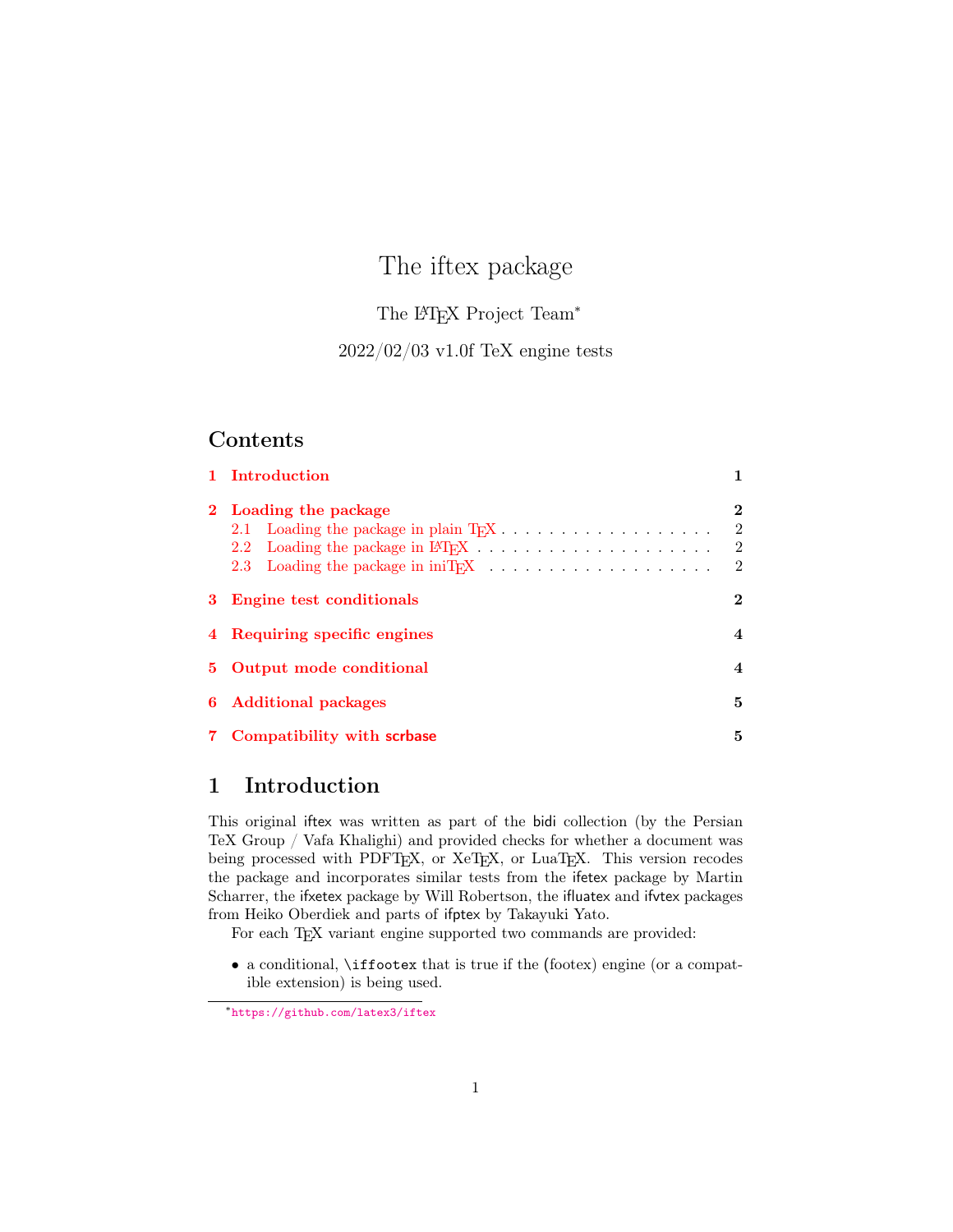# The iftex package

### The L<sup>AT</sup>FX Project Team<sup>\*</sup>

### 2022/02/03 v1.0f TeX engine tests

### Contents

| 1 Introduction               |                            |
|------------------------------|----------------------------|
| 2 Loading the package        | $\bf{2}$<br>$\overline{2}$ |
| 3 Engine test conditionals   | $\bf{2}$                   |
| 4 Requiring specific engines | 4                          |
| 5 Output mode conditional    | 4                          |
| 6 Additional packages        | 5                          |
| 7 Compatibility with scrbase | 5                          |

### <span id="page-0-0"></span>1 Introduction

This original iftex was written as part of the bidi collection (by the Persian TeX Group / Vafa Khalighi) and provided checks for whether a document was being processed with PDFTEX, or XeTEX, or LuaTEX. This version recodes the package and incorporates similar tests from the ifetex package by Martin Scharrer, the ifxetex package by Will Robertson, the ifluatex and ifvtex packages from Heiko Oberdiek and parts of ifptex by Takayuki Yato.

For each T<sub>EX</sub> variant engine supported two commands are provided:

• a conditional, \iffootex that is true if the (footex) engine (or a compatible extension) is being used.

<sup>∗</sup><https://github.com/latex3/iftex>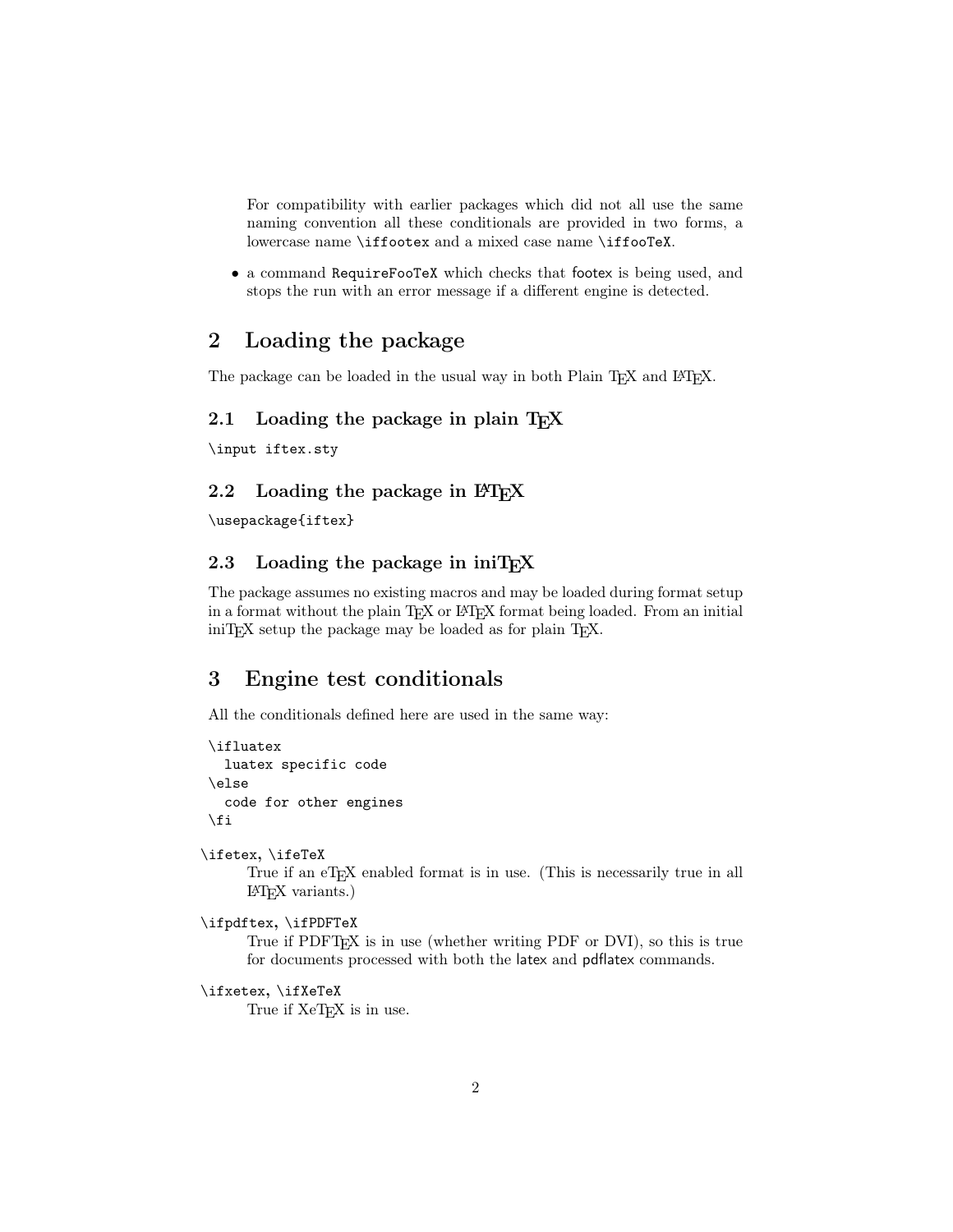For compatibility with earlier packages which did not all use the same naming convention all these conditionals are provided in two forms, a lowercase name \iffootex and a mixed case name \iffooTeX.

• a command RequireFooTeX which checks that footex is being used, and stops the run with an error message if a different engine is detected.

### <span id="page-1-0"></span>2 Loading the package

The package can be loaded in the usual way in both Plain T<sub>E</sub>X and L<sup>AT</sup>EX.

### <span id="page-1-1"></span>2.1 Loading the package in plain  $T_F X$

\input iftex.sty

### <span id="page-1-2"></span>2.2 Loading the package in  $\angle$ FFX

\usepackage{iftex}

### <span id="page-1-3"></span>2.3 Loading the package in iniT<sub>F</sub>X

The package assumes no existing macros and may be loaded during format setup in a format without the plain T<sub>EX</sub> or LAT<sub>EX</sub> format being loaded. From an initial  $\text{iniTr } X$  setup the package may be loaded as for plain T<sub>E</sub>X.

### <span id="page-1-4"></span>3 Engine test conditionals

All the conditionals defined here are used in the same way:

```
\ifluatex
  luatex specific code
\else
  code for other engines
\fi
```
\ifetex, \ifeTeX

True if an eT<sub>E</sub>X enabled format is in use. (This is necessarily true in all LATEX variants.)

```
\ifpdftex, \ifPDFTeX
```
True if PDFTEX is in use (whether writing PDF or DVI), so this is true for documents processed with both the latex and pdflatex commands.

```
\ifxetex, \ifXeTeX
      True if XeT_FX is in use.
```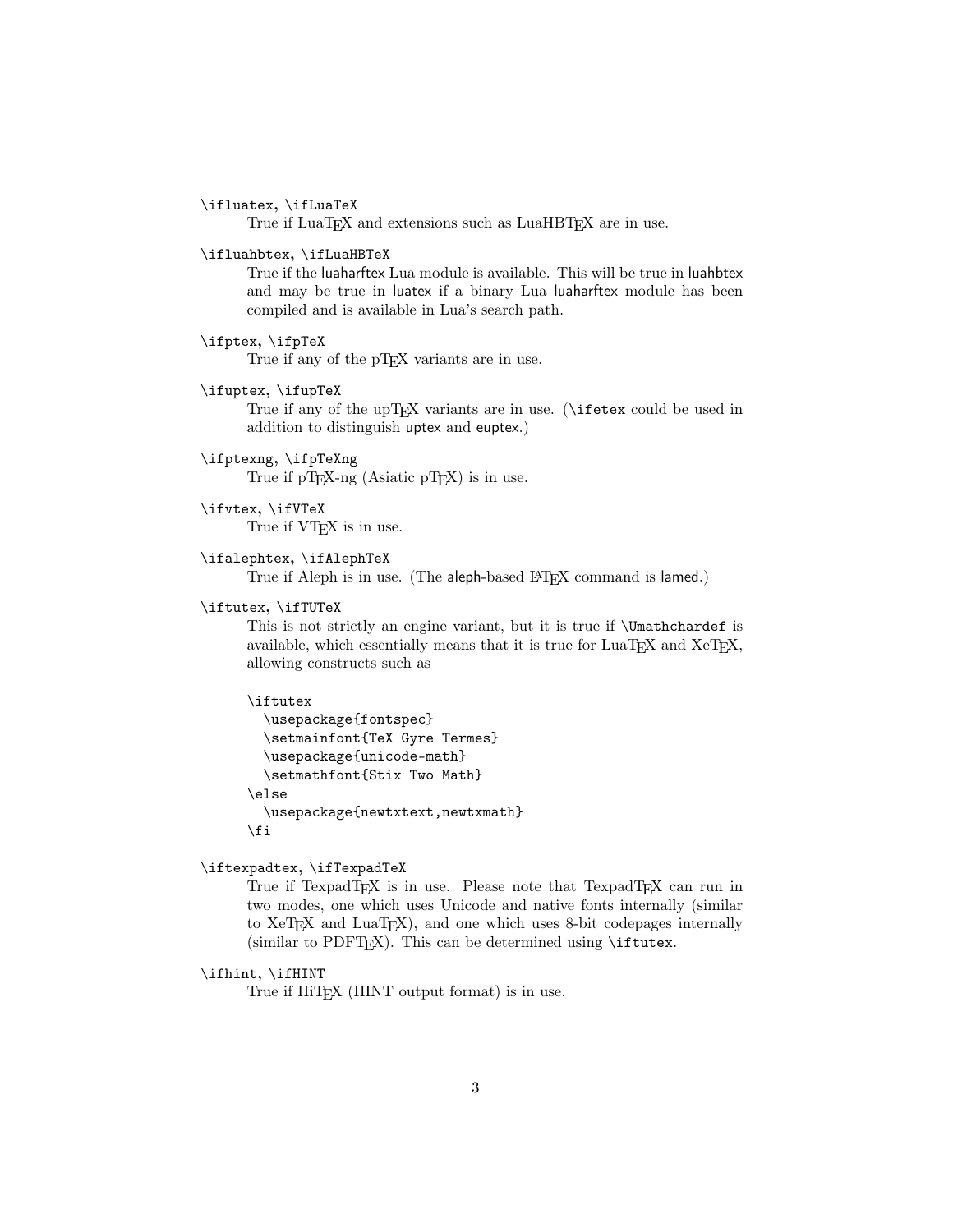#### \ifluatex, \ifLuaTeX

True if LuaT<sub>E</sub>X and extensions such as LuaHBT<sub>E</sub>X are in use.

#### \ifluahbtex, \ifLuaHBTeX

True if the luaharftex Lua module is available. This will be true in luahbtex and may be true in luatex if a binary Lua luaharftex module has been compiled and is available in Lua's search path.

#### \ifptex, \ifpTeX

True if any of the pT<sub>E</sub>X variants are in use.

\ifuptex, \ifupTeX

True if any of the upT<sub>E</sub>X variants are in use. ( $\iint$ etex could be used in addition to distinguish uptex and euptex.)

#### \ifptexng, \ifpTeXng

True if  $pT_FX$ -ng (Asiatic  $pT_FX$ ) is in use.

\ifvtex, \ifVTeX

True if  $VTFX$  is in use.

#### \ifalephtex, \ifAlephTeX

True if Aleph is in use. (The aleph-based LATEX command is lamed.)

#### \iftutex, \ifTUTeX

This is not strictly an engine variant, but it is true if \Umathchardef is available, which essentially means that it is true for  $\text{LuaT}$ <sub>F</sub>X and XeT<sub>F</sub>X, allowing constructs such as

#### \iftutex

```
\usepackage{fontspec}
  \setmainfont{TeX Gyre Termes}
  \usepackage{unicode-math}
  \setmathfont{Stix Two Math}
\else
  \usepackage{newtxtext,newtxmath}
\fi
```
#### \iftexpadtex, \ifTexpadTeX

True if TexpadT<sub>E</sub>X is in use. Please note that TexpadT<sub>E</sub>X can run in two modes, one which uses Unicode and native fonts internally (similar to  $XeTEX$  and  $LuaTEX$ ), and one which uses 8-bit codepages internally (similar to PDFT<sub>EX</sub>). This can be determined using  $\iint_{\mathbb{R}^2}$ .

#### \ifhint, \ifHINT

True if HiT<sub>E</sub>X (HINT output format) is in use.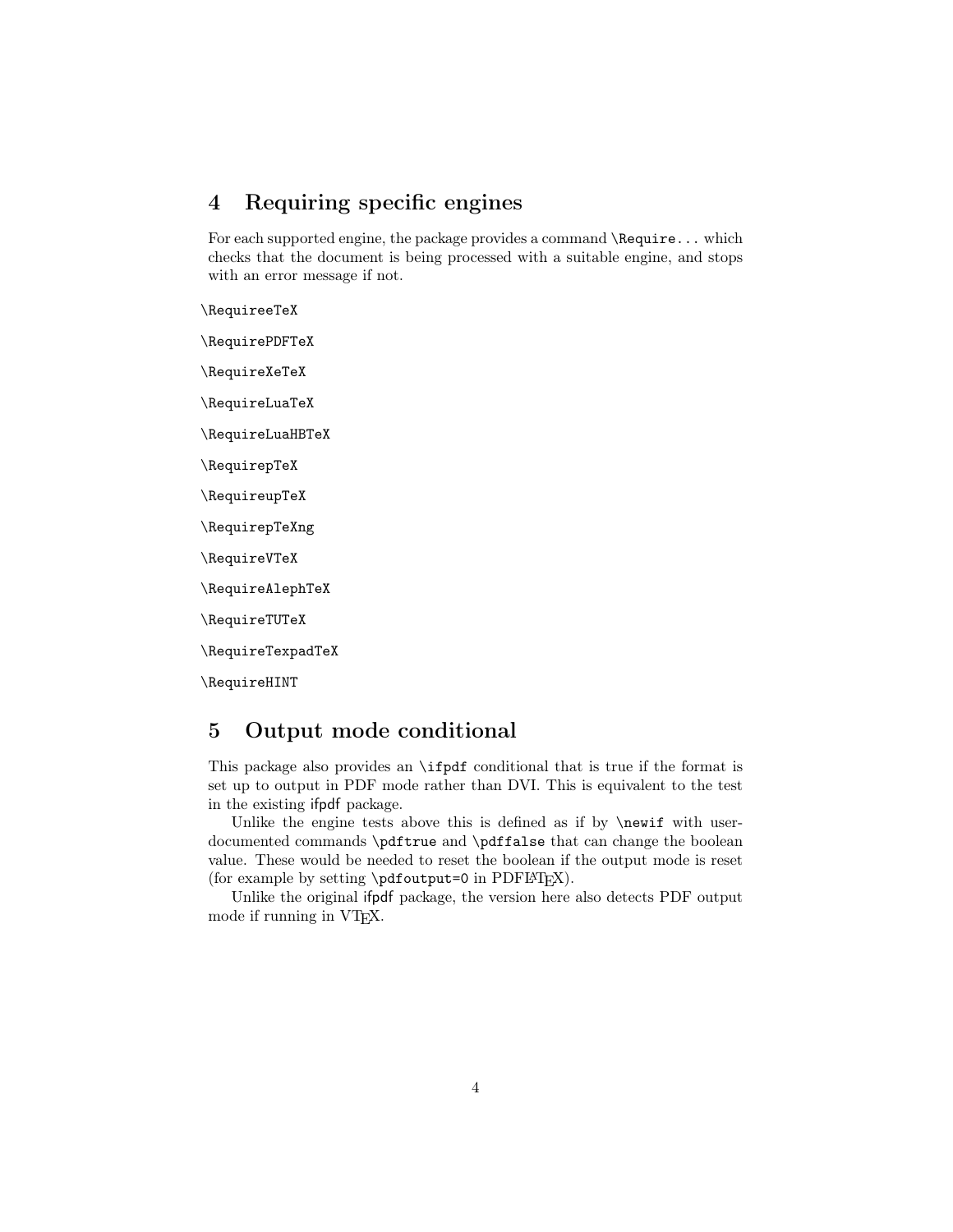### <span id="page-3-0"></span>4 Requiring specific engines

For each supported engine, the package provides a command **\Require...** which checks that the document is being processed with a suitable engine, and stops with an error message if not.

\RequireeTeX \RequirePDFTeX \RequireXeTeX \RequireLuaTeX \RequireLuaHBTeX

\RequirepTeX

\RequireupTeX

\RequirepTeXng

\RequireVTeX

\RequireAlephTeX

\RequireTUTeX

\RequireTexpadTeX

\RequireHINT

### <span id="page-3-1"></span>5 Output mode conditional

This package also provides an \ifpdf conditional that is true if the format is set up to output in PDF mode rather than DVI. This is equivalent to the test in the existing ifpdf package.

Unlike the engine tests above this is defined as if by  $\neq$  with userdocumented commands \pdftrue and \pdffalse that can change the boolean value. These would be needed to reset the boolean if the output mode is reset (for example by setting  $\Phi=0$  in PDFLATEX).

Unlike the original ifpdf package, the version here also detects PDF output mode if running in VTEX.